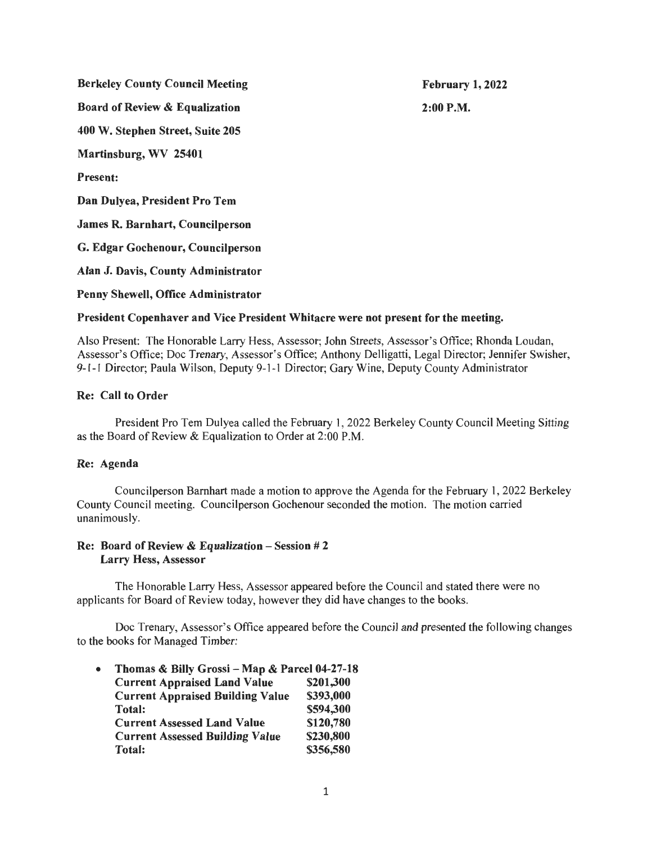Berkeley County Council Meeting

February 1, 2022 2:00P.M.

400 W. Stephen Street, Suite 205

Board of Review & Equalization

Martinsburg, WV 25401

Present:

Dan Dulyea, President Pro Tem

James R. Barnhart, Councilperson

G. Edgar Gochenour, Councilperson

Alan J. Davis, County Administrator

Penny Shewell, Office Administrator

# President Copenhaver and Vice President Whitacre were not present for the meeting.

Also Present: The Honorable Larry Hess, Assessor; John Streets, Assessor's Office; Rhonda Loudan, Assessor's Office; Doc Trenary, Assessor's Office; Anthony Delligatti, Legal Director; Jennifer Swisher, 9-1-1 Director; Paula Wilson, Deputy 9-1-1 Director; Gary Wine, Deputy County Administrator

# Re: Call to Order

President Pro Tem Dulyea called the February 1, 2022 Berkeley County Council Meeting Sitting as the Board of Review & Equalization to Order at 2:00 P.M.

# Re: Agenda

Councilperson Barnhart made a motion to approve the Agenda for the February 1, 2022 Berkeley County Council meeting. Councilperson Gochenour seconded the motion. The motion carried unanimously.

# Re: Board of Review & Equalization - Session # 2 Larry Hess, Assessor

The Honorable Larry Hess, Assessor appeared before the Council and stated there were no applicants for Board of Review today, however they did have changes to the books.

Doc Trenary, Assessor's Office appeared before the Council and presented the following changes to the books for Managed Timber:

| $\bullet$ | Thomas & Billy Grossi - Map & Parcel 04-27-18 |           |
|-----------|-----------------------------------------------|-----------|
|           | <b>Current Appraised Land Value</b>           | \$201,300 |
|           | <b>Current Appraised Building Value</b>       | \$393,000 |
|           | Total:                                        | \$594,300 |
|           | <b>Current Assessed Land Value</b>            | \$120,780 |
|           | <b>Current Assessed Building Value</b>        | \$230,800 |
|           | <b>Total:</b>                                 | \$356,580 |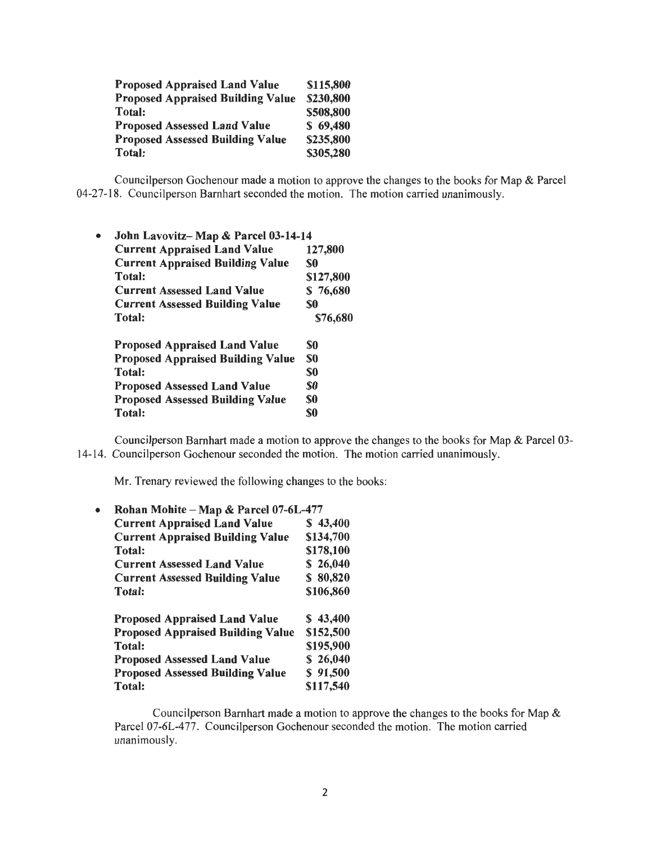| <b>Proposed Appraised Land Value</b>     | \$115,800 |
|------------------------------------------|-----------|
| <b>Proposed Appraised Building Value</b> | \$230,800 |
| Total:                                   | \$508,800 |
| <b>Proposed Assessed Land Value</b>      | \$69,480  |
| <b>Proposed Assessed Building Value</b>  | \$235,800 |
| Total:                                   | \$305,280 |

Councilperson Gochenour made a motion to approve the changes to the books for Map & Parcel 04-27-18. Councilperson Barnhart seconded the motion. The motion carried unanimously.

| $\bullet$ | John Lavovitz-Map & Parcel 03-14-14      |           |  |
|-----------|------------------------------------------|-----------|--|
|           | <b>Current Appraised Land Value</b>      | 127,800   |  |
|           | <b>Current Appraised Building Value</b>  | \$0       |  |
|           | <b>Total:</b>                            | \$127,800 |  |
|           | <b>Current Assessed Land Value</b>       | \$76,680  |  |
|           | <b>Current Assessed Building Value</b>   | \$0       |  |
|           | <b>Total:</b>                            | \$76,680  |  |
|           | <b>Proposed Appraised Land Value</b>     | \$0       |  |
|           | <b>Proposed Appraised Building Value</b> | \$0       |  |
|           | <b>Total:</b>                            | \$0       |  |
|           | <b>Proposed Assessed Land Value</b>      | \$0       |  |
|           | <b>Proposed Assessed Building Value</b>  | \$0       |  |
|           | <b>Total:</b>                            | \$0       |  |
|           |                                          |           |  |

Councilperson Barnhart made a motion to approve the changes to the books for Map & Parcel 03- 14-14. Councilperson Gochenour seconded the motion. The motion carried unanimously.

Mr. Trenary reviewed the following changes to the books:

| Rohan Mohite – Map & Parcel 07-6L-477    |           |  |
|------------------------------------------|-----------|--|
| <b>Current Appraised Land Value</b>      | \$43,400  |  |
| <b>Current Appraised Building Value</b>  | \$134,700 |  |
| <b>Total:</b>                            | \$178,100 |  |
| <b>Current Assessed Land Value</b>       | \$26,040  |  |
| <b>Current Assessed Building Value</b>   | \$80,820  |  |
| <b>Total:</b>                            | \$106,860 |  |
| <b>Proposed Appraised Land Value</b>     | \$43,400  |  |
| <b>Proposed Appraised Building Value</b> | \$152,500 |  |
| <b>Total:</b>                            | \$195,900 |  |
| <b>Proposed Assessed Land Value</b>      | \$26,040  |  |
| <b>Proposed Assessed Building Value</b>  | \$91,500  |  |
| <b>Total:</b>                            | \$117,540 |  |

Councilperson Barnhart made a motion to approve the changes to the books for Map & Parcel 07-6L-477. Councilperson Gochenour seconded the motion. The motion carried unanimously.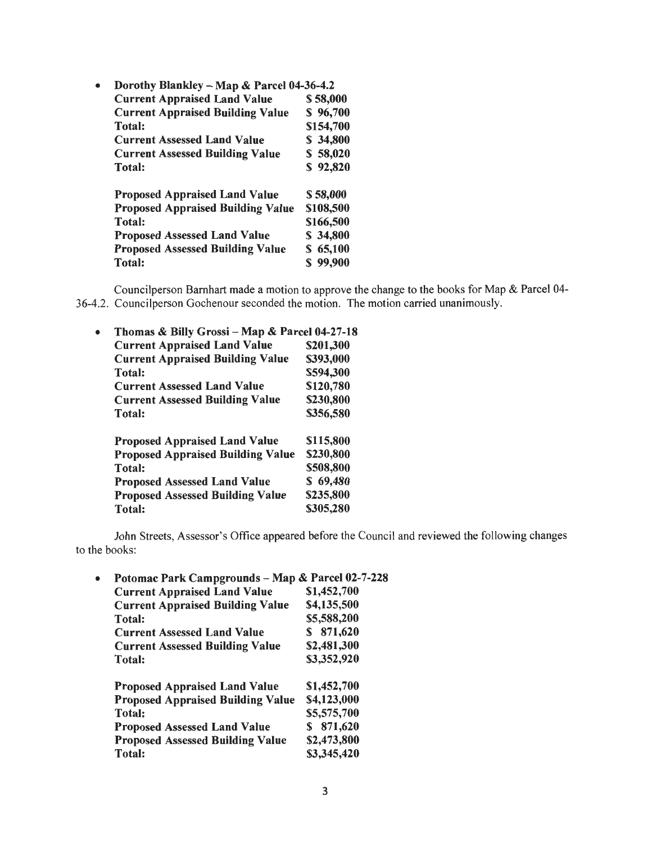| Dorothy Blankley - Map & Parcel 04-36-4.2 |                                          |           |
|-------------------------------------------|------------------------------------------|-----------|
|                                           | <b>Current Appraised Land Value</b>      | \$58,000  |
|                                           | <b>Current Appraised Building Value</b>  | \$96,700  |
|                                           | <b>Total:</b>                            | \$154,700 |
|                                           | <b>Current Assessed Land Value</b>       | \$34,800  |
|                                           | <b>Current Assessed Building Value</b>   | \$58,020  |
|                                           | <b>Total:</b>                            | \$92,820  |
|                                           | <b>Proposed Appraised Land Value</b>     | \$58,000  |
|                                           | <b>Proposed Appraised Building Value</b> | \$108,500 |
|                                           | <b>Total:</b>                            | \$166,500 |
|                                           | <b>Proposed Assessed Land Value</b>      | \$34,800  |
|                                           | <b>Proposed Assessed Building Value</b>  | \$65,100  |
|                                           | <b>Total:</b>                            | \$99,900  |
|                                           |                                          |           |

Councilperson Barnhart made a motion to approve the change to the books for Map & Parcel 04- 36-4.2. Councilperson Gochenour seconded the motion. The motion carried unanimously.

| Thomas & Billy Grossi - Map & Parcel 04-27-18 |           |
|-----------------------------------------------|-----------|
| <b>Current Appraised Land Value</b>           | \$201,300 |
| <b>Current Appraised Building Value</b>       | \$393,000 |
| Total:                                        | \$594,300 |
| <b>Current Assessed Land Value</b>            | \$120,780 |
| <b>Current Assessed Building Value</b>        | \$230,800 |
| Total:                                        | \$356,580 |
| <b>Proposed Appraised Land Value</b>          | \$115,800 |
| <b>Proposed Appraised Building Value</b>      | \$230,800 |
| Total:                                        | \$508,800 |
| <b>Proposed Assessed Land Value</b>           | \$69,480  |
| <b>Proposed Assessed Building Value</b>       | \$235,800 |
| <b>Total:</b>                                 | \$305,280 |
|                                               |           |

John Streets, Assessor's Office appeared before the Council and reviewed the following changes to the books:

| Potomac Park Campgrounds - Map & Parcel 02-7-228 |                                                                                                                                                                                                                                                                                                                                                                                                   |  |
|--------------------------------------------------|---------------------------------------------------------------------------------------------------------------------------------------------------------------------------------------------------------------------------------------------------------------------------------------------------------------------------------------------------------------------------------------------------|--|
|                                                  | \$1,452,700                                                                                                                                                                                                                                                                                                                                                                                       |  |
|                                                  | \$4,135,500                                                                                                                                                                                                                                                                                                                                                                                       |  |
|                                                  | \$5,588,200                                                                                                                                                                                                                                                                                                                                                                                       |  |
|                                                  | \$871,620                                                                                                                                                                                                                                                                                                                                                                                         |  |
|                                                  | \$2,481,300                                                                                                                                                                                                                                                                                                                                                                                       |  |
|                                                  | \$3,352,920                                                                                                                                                                                                                                                                                                                                                                                       |  |
|                                                  | \$1,452,700                                                                                                                                                                                                                                                                                                                                                                                       |  |
|                                                  | \$4,123,000                                                                                                                                                                                                                                                                                                                                                                                       |  |
|                                                  | \$5,575,700                                                                                                                                                                                                                                                                                                                                                                                       |  |
|                                                  | \$871,620                                                                                                                                                                                                                                                                                                                                                                                         |  |
|                                                  | \$2,473,800                                                                                                                                                                                                                                                                                                                                                                                       |  |
|                                                  | \$3,345,420                                                                                                                                                                                                                                                                                                                                                                                       |  |
|                                                  | <b>Current Appraised Land Value</b><br><b>Current Appraised Building Value</b><br><b>Total:</b><br><b>Current Assessed Land Value</b><br><b>Current Assessed Building Value</b><br>Total:<br><b>Proposed Appraised Land Value</b><br><b>Proposed Appraised Building Value</b><br><b>Total:</b><br><b>Proposed Assessed Land Value</b><br><b>Proposed Assessed Building Value</b><br><b>Total:</b> |  |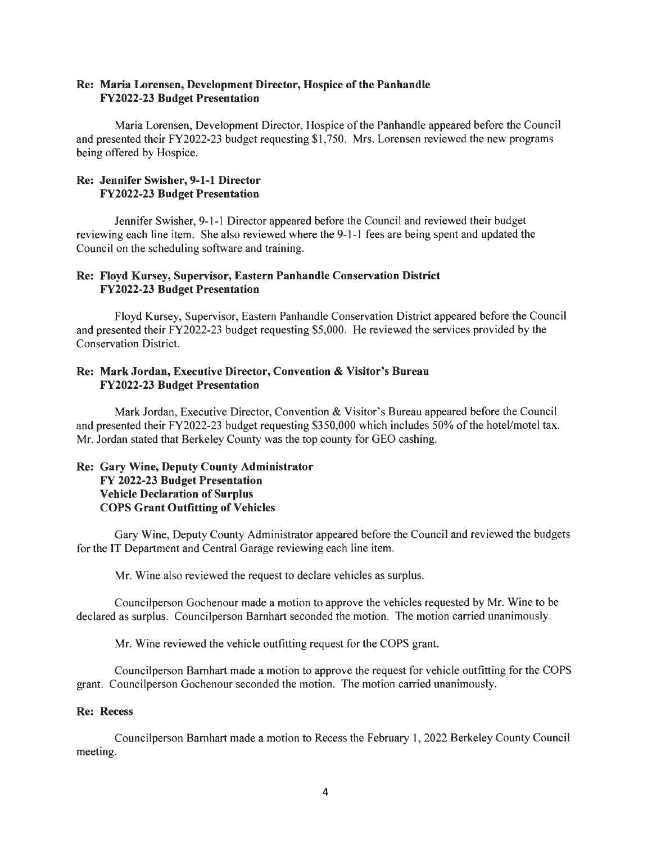### Re: Maria Lorensen, Development Director, Hospice of the Panhandle FY2022-23 Budget Presentation

Maria Lorensen, Development Director, Hospice of the Panhandle appeared before the Council and presented their FY2022-23 budget requesting \$1,750. Mrs. Lorensen reviewed the new programs being offered by Hospice.

### Re: Jennifer Swisher, 9-1-1 Director FY2022-23 Budget Presentation

Jennifer Swisher, 9-1-1 Director appeared before the Council and reviewed their budget reviewing each line item. She also reviewed where the 9-1-1 fees are being spent and updated the Council on the scheduling software and training.

# Re: Floyd Kursey, Supervisor, Eastern Panhandle Conservation District FY2022-23 Budget Presentation

Floyd Kursey, Supervisor, Eastern Panhandle Conservation District appeared before the Council and presented their FY2022-23 budget requesting \$5,000. He reviewed the services provided by the Conservation District.

### Re: Mark Jordan, Executive Director, Convention & Visitor's Bureau FY2022-23 Budget Presentation

Mark Jordan, Executive Director, Convention & Visitor's Bureau appeared before the Council and presented their FY2022-23 budget requesting \$350,000 which includes 50% of the hotel/motel tax. Mr. Jordan stated that Berkeley County was the top county for GEO cashing.

# Re: Gary Wine, Deputy County Administrator FY 2022-23 Budget Presentation Vehicle Declaration of Surplus COPS Grant Outfitting of Vehicles

Gary Wine, Deputy County Administrator appeared before the Council and reviewed the budgets for the IT Department and Central Garage reviewing each line item.

Mr. Wine also reviewed the request to declare vehicles as surplus.

Councilperson Gochenour made a motion to approve the vehicles requested by Mr. Wine to be declared as surplus. Councilperson Barnhart seconded the motion. The motion carried unanimously.

Mr. Wine reviewed the vehicle outfitting request for the COPS grant.

Councilperson Barnhart made a motion to approve the request for vehicle outfitting for the COPS grant. Councilperson Gochenour seconded the motion. The motion carried unanimously.

#### Re: Recess

Councilperson Barnhart made a motion to Recess the February 1, 2022 Berkeley County Council meeting.